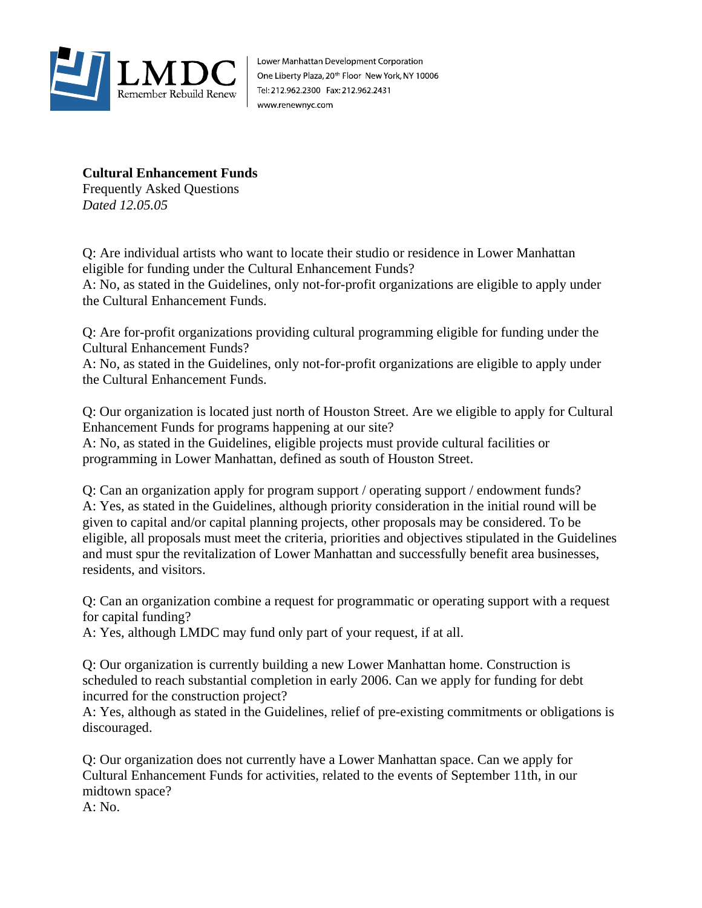

Lower Manhattan Development Corporation One Liberty Plaza, 20<sup>th</sup> Floor New York, NY 10006 Tel: 212.962.2300 Fax: 212.962.2431 www.renewnyc.com

## **Cultural Enhancement Funds**

Frequently Asked Questions *Dated 12.05.05*

Q: Are individual artists who want to locate their studio or residence in Lower Manhattan eligible for funding under the Cultural Enhancement Funds?

A: No, as stated in the Guidelines, only not-for-profit organizations are eligible to apply under the Cultural Enhancement Funds.

Q: Are for-profit organizations providing cultural programming eligible for funding under the Cultural Enhancement Funds?

A: No, as stated in the Guidelines, only not-for-profit organizations are eligible to apply under the Cultural Enhancement Funds.

Q: Our organization is located just north of Houston Street. Are we eligible to apply for Cultural Enhancement Funds for programs happening at our site?

A: No, as stated in the Guidelines, eligible projects must provide cultural facilities or programming in Lower Manhattan, defined as south of Houston Street.

Q: Can an organization apply for program support / operating support / endowment funds? A: Yes, as stated in the Guidelines, although priority consideration in the initial round will be given to capital and/or capital planning projects, other proposals may be considered. To be eligible, all proposals must meet the criteria, priorities and objectives stipulated in the Guidelines and must spur the revitalization of Lower Manhattan and successfully benefit area businesses, residents, and visitors.

Q: Can an organization combine a request for programmatic or operating support with a request for capital funding?

A: Yes, although LMDC may fund only part of your request, if at all.

Q: Our organization is currently building a new Lower Manhattan home. Construction is scheduled to reach substantial completion in early 2006. Can we apply for funding for debt incurred for the construction project?

A: Yes, although as stated in the Guidelines, relief of pre-existing commitments or obligations is discouraged.

Q: Our organization does not currently have a Lower Manhattan space. Can we apply for Cultural Enhancement Funds for activities, related to the events of September 11th, in our midtown space?

A: No.